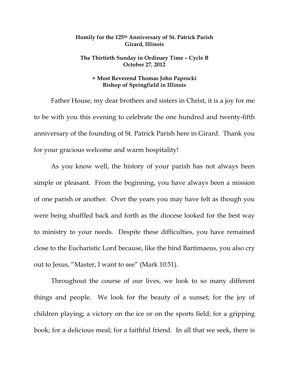## **Homily for the 125th Anniversary of St. Patrick Parish Girard, Illinois**

## **The Thirtieth Sunday in Ordinary Time – Cycle B October 27, 2012**

## **+ Most Reverend Thomas John Paprocki Bishop of Springfield in Illinois**

 Father House, my dear brothers and sisters in Christ, it is a joy for me to be with you this evening to celebrate the one hundred and twenty-fifth anniversary of the founding of St. Patrick Parish here in Girard. Thank you for your gracious welcome and warm hospitality!

 As you know well, the history of your parish has not always been simple or pleasant. From the beginning, you have always been a mission of one parish or another. Over the years you may have felt as though you were being shuffled back and forth as the diocese looked for the best way to ministry to your needs. Despite these difficulties, you have remained close to the Eucharistic Lord because, like the bind Bartimaeus, you also cry out to Jesus, "Master, I want to see" (Mark 10:51).

 Throughout the course of our lives, we look to so many different things and people. We look for the beauty of a sunset; for the joy of children playing; a victory on the ice or on the sports field; for a gripping book; for a delicious meal; for a faithful friend. In all that we seek, there is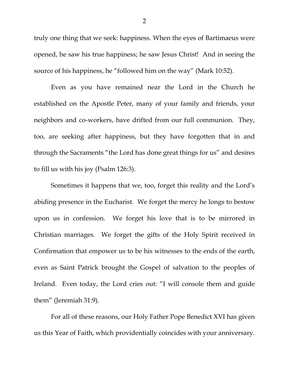truly one thing that we seek: happiness. When the eyes of Bartimaeus were opened, he saw his true happiness; he saw Jesus Christ! And in seeing the source of his happiness, he "followed him on the way" (Mark 10:52).

 Even as you have remained near the Lord in the Church he established on the Apostle Peter, many of your family and friends, your neighbors and co-workers, have drifted from our full communion. They, too, are seeking after happiness, but they have forgotten that in and through the Sacraments "the Lord has done great things for us" and desires to fill us with his joy (Psalm 126:3).

 Sometimes it happens that we, too, forget this reality and the Lord's abiding presence in the Eucharist. We forget the mercy he longs to bestow upon us in confession. We forget his love that is to be mirrored in Christian marriages. We forget the gifts of the Holy Spirit received in Confirmation that empower us to be his witnesses to the ends of the earth, even as Saint Patrick brought the Gospel of salvation to the peoples of Ireland. Even today, the Lord cries out: "I will console them and guide them" (Jeremiah 31:9).

 For all of these reasons, our Holy Father Pope Benedict XVI has given us this Year of Faith, which providentially coincides with your anniversary.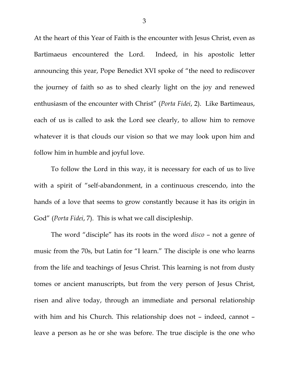At the heart of this Year of Faith is the encounter with Jesus Christ, even as Bartimaeus encountered the Lord. Indeed, in his apostolic letter announcing this year, Pope Benedict XVI spoke of "the need to rediscover the journey of faith so as to shed clearly light on the joy and renewed enthusiasm of the encounter with Christ" (*Porta Fidei*, 2). Like Bartimeaus, each of us is called to ask the Lord see clearly, to allow him to remove whatever it is that clouds our vision so that we may look upon him and follow him in humble and joyful love.

 To follow the Lord in this way, it is necessary for each of us to live with a spirit of "self-abandonment, in a continuous crescendo, into the hands of a love that seems to grow constantly because it has its origin in God" (*Porta Fidei*, 7). This is what we call discipleship.

The word "disciple" has its roots in the word *disco* – not a genre of music from the 70s, but Latin for "I learn." The disciple is one who learns from the life and teachings of Jesus Christ. This learning is not from dusty tomes or ancient manuscripts, but from the very person of Jesus Christ, risen and alive today, through an immediate and personal relationship with him and his Church. This relationship does not – indeed, cannot – leave a person as he or she was before. The true disciple is the one who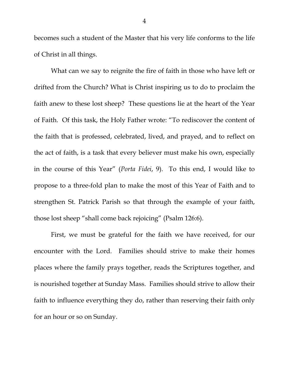becomes such a student of the Master that his very life conforms to the life of Christ in all things.

What can we say to reignite the fire of faith in those who have left or drifted from the Church? What is Christ inspiring us to do to proclaim the faith anew to these lost sheep? These questions lie at the heart of the Year of Faith. Of this task, the Holy Father wrote: "To rediscover the content of the faith that is professed, celebrated, lived, and prayed, and to reflect on the act of faith, is a task that every believer must make his own, especially in the course of this Year" (*Porta Fidei*, 9). To this end, I would like to propose to a three-fold plan to make the most of this Year of Faith and to strengthen St. Patrick Parish so that through the example of your faith, those lost sheep "shall come back rejoicing" (Psalm 126:6).

 First, we must be grateful for the faith we have received, for our encounter with the Lord. Families should strive to make their homes places where the family prays together, reads the Scriptures together, and is nourished together at Sunday Mass. Families should strive to allow their faith to influence everything they do, rather than reserving their faith only for an hour or so on Sunday.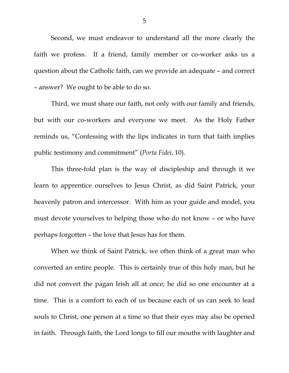Second, we must endeavor to understand all the more clearly the faith we profess. If a friend, family member or co-worker asks us a question about the Catholic faith, can we provide an adequate – and correct – answer? We ought to be able to do so.

 Third, we must share our faith, not only with our family and friends, but with our co-workers and everyone we meet. As the Holy Father reminds us, "Confessing with the lips indicates in turn that faith implies public testimony and commitment" (*Porta Fidei*, 10).

 This three-fold plan is the way of discipleship and through it we learn to apprentice ourselves to Jesus Christ, as did Saint Patrick, your heavenly patron and intercessor. With him as your guide and model, you must devote yourselves to helping those who do not know – or who have perhaps forgotten – the love that Jesus has for them.

 When we think of Saint Patrick, we often think of a great man who converted an entire people. This is certainly true of this holy man, but he did not convert the pagan Irish all at once; he did so one encounter at a time. This is a comfort to each of us because each of us can seek to lead souls to Christ, one person at a time so that their eyes may also be opened in faith. Through faith, the Lord longs to fill our mouths with laughter and